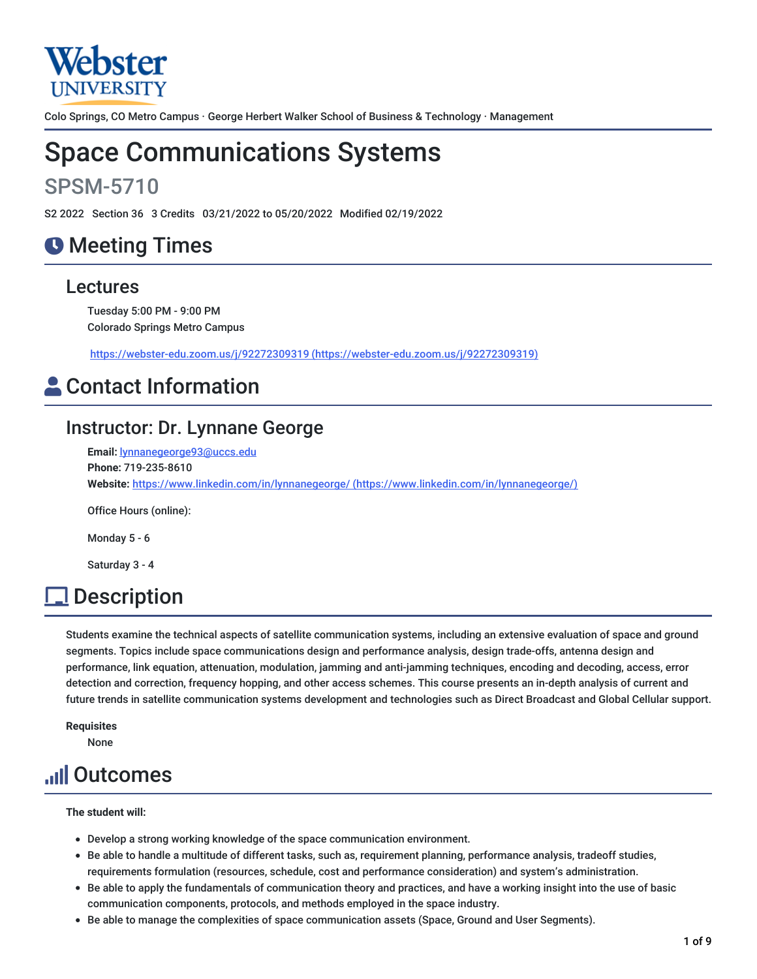

Colo Springs, CO Metro Campus · George Herbert Walker School of Business & Technology · Management

# Space Communications Systems

# SPSM-5710

S2 2022 Section 36 3 Credits 03/21/2022 to 05/20/2022 Modified 02/19/2022

# **O** Meeting Times

### Lectures

Tuesday 5:00 PM - 9:00 PM Colorado Springs Metro Campus

https://webster-edu.zoom.us/j/92272309319 [\(https://webster-edu.zoom.us/j/92272309319\)](https://webster-edu.zoom.us/j/92272309319)

# **Contact Information**

## Instructor: Dr. Lynnane George

**Email:** [lynnanegeorge93@uccs.edu](mailto:lynnanegeorge93@uccs.edu) **Phone:** 719-235-8610 **Website:** https://www.linkedin.com/in/lynnanegeorge/ [\(https://www.linkedin.com/in/lynnanegeorge/\)](https://www.linkedin.com/in/lynnanegeorge/)

Office Hours (online):

Monday 5 - 6

Saturday 3 - 4

# **Description**

Students examine the technical aspects of satellite communication systems, including an extensive evaluation of space and ground segments. Topics include space communications design and performance analysis, design trade-offs, antenna design and performance, link equation, attenuation, modulation, jamming and anti-jamming techniques, encoding and decoding, access, error detection and correction, frequency hopping, and other access schemes. This course presents an in-depth analysis of current and future trends in satellite communication systems development and technologies such as Direct Broadcast and Global Cellular support.

**Requisites** None

# Outcomes

**The student will:**

- Develop a strong working knowledge of the space communication environment.
- Be able to handle a multitude of different tasks, such as, requirement planning, performance analysis, tradeoff studies, requirements formulation (resources, schedule, cost and performance consideration) and system's administration.
- Be able to apply the fundamentals of communication theory and practices, and have a working insight into the use of basic communication components, protocols, and methods employed in the space industry.
- Be able to manage the complexities of space communication assets (Space, Ground and User Segments).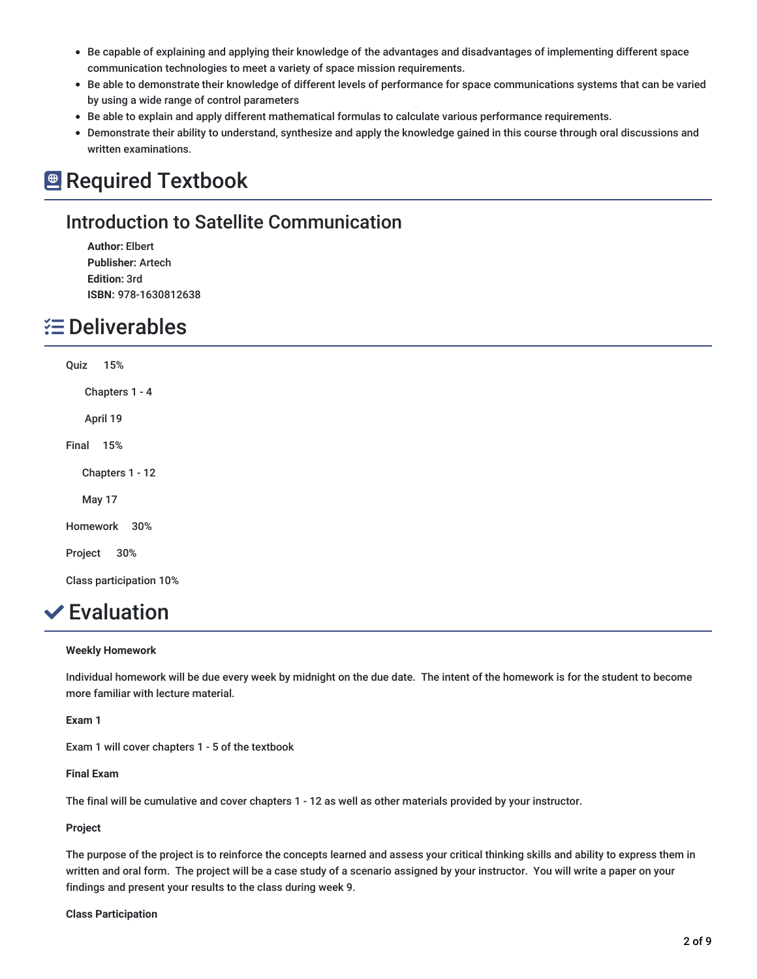- Be capable of explaining and applying their knowledge of the advantages and disadvantages of implementing different space communication technologies to meet a variety of space mission requirements.
- Be able to demonstrate their knowledge of different levels of performance for space communications systems that can be varied by using a wide range of control parameters
- Be able to explain and apply different mathematical formulas to calculate various performance requirements.
- Demonstrate their ability to understand, synthesize and apply the knowledge gained in this course through oral discussions and written examinations.

## **Required Textbook**

## Introduction to Satellite Communication

**Author:** Elbert **Publisher:** Artech **Edition:** 3rd **ISBN:** 978-1630812638

## **E** Deliverables

Quiz 15% Chapters 1 - 4 April 19 Final 15% Chapters 1 - 12 May 17 Homework 30% Project 30% Class participation 10%

## **✓**Evaluation

### **Weekly Homework**

Individual homework will be due every week by midnight on the due date. The intent of the homework is for the student to become more familiar with lecture material.

### **Exam 1**

Exam 1 will cover chapters 1 - 5 of the textbook

### **Final Exam**

The final will be cumulative and cover chapters 1 - 12 as well as other materials provided by your instructor.

### **Project**

The purpose of the project is to reinforce the concepts learned and assess your critical thinking skills and ability to express them in written and oral form. The project will be a case study of a scenario assigned by your instructor. You will write a paper on your findings and present your results to the class during week 9.

### **Class Participation**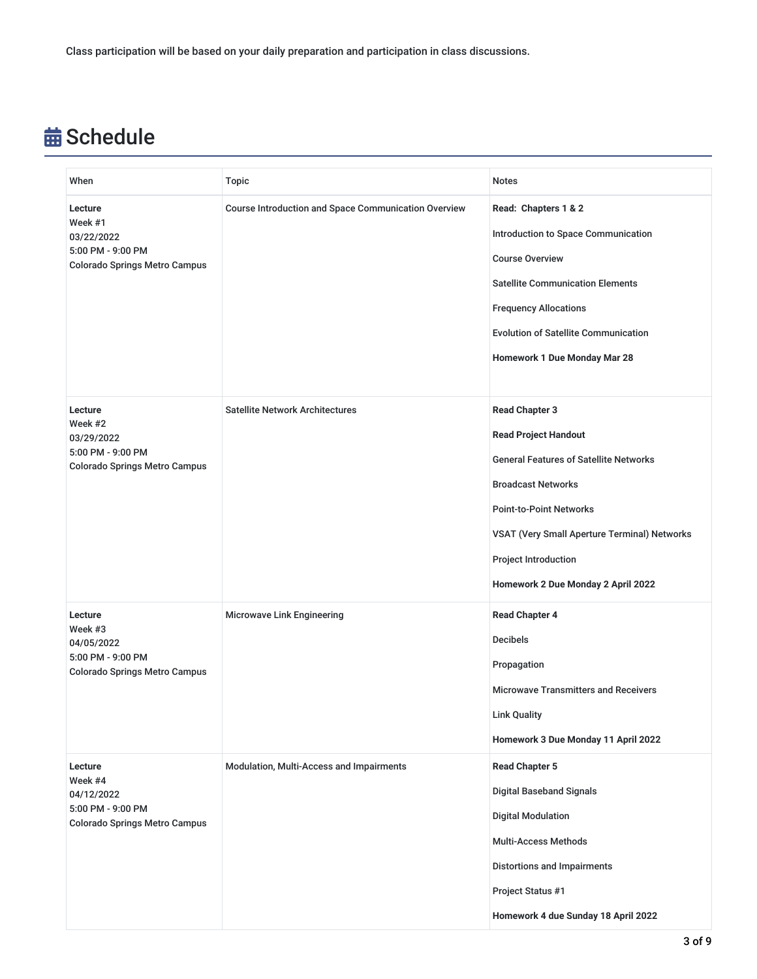# **苗 Schedule**

| When                                                                                          | <b>Topic</b>                                                | <b>Notes</b>                                                                                                                                                                                                                                                                       |
|-----------------------------------------------------------------------------------------------|-------------------------------------------------------------|------------------------------------------------------------------------------------------------------------------------------------------------------------------------------------------------------------------------------------------------------------------------------------|
| Lecture<br>Week #1<br>03/22/2022<br>5:00 PM - 9:00 PM<br><b>Colorado Springs Metro Campus</b> | <b>Course Introduction and Space Communication Overview</b> | Read: Chapters 1 & 2<br>Introduction to Space Communication<br><b>Course Overview</b><br><b>Satellite Communication Elements</b><br><b>Frequency Allocations</b><br><b>Evolution of Satellite Communication</b><br>Homework 1 Due Monday Mar 28                                    |
| Lecture<br>Week #2<br>03/29/2022<br>5:00 PM - 9:00 PM<br><b>Colorado Springs Metro Campus</b> | <b>Satellite Network Architectures</b>                      | <b>Read Chapter 3</b><br><b>Read Project Handout</b><br><b>General Features of Satellite Networks</b><br><b>Broadcast Networks</b><br><b>Point-to-Point Networks</b><br>VSAT (Very Small Aperture Terminal) Networks<br>Project Introduction<br>Homework 2 Due Monday 2 April 2022 |
| Lecture<br>Week #3<br>04/05/2022<br>5:00 PM - 9:00 PM<br><b>Colorado Springs Metro Campus</b> | Microwave Link Engineering                                  | <b>Read Chapter 4</b><br><b>Decibels</b><br>Propagation<br><b>Microwave Transmitters and Receivers</b><br><b>Link Quality</b><br>Homework 3 Due Monday 11 April 2022                                                                                                               |
| Lecture<br>Week #4<br>04/12/2022<br>5:00 PM - 9:00 PM<br><b>Colorado Springs Metro Campus</b> | Modulation, Multi-Access and Impairments                    | <b>Read Chapter 5</b><br><b>Digital Baseband Signals</b><br><b>Digital Modulation</b><br><b>Multi-Access Methods</b><br><b>Distortions and Impairments</b><br>Project Status #1<br>Homework 4 due Sunday 18 April 2022                                                             |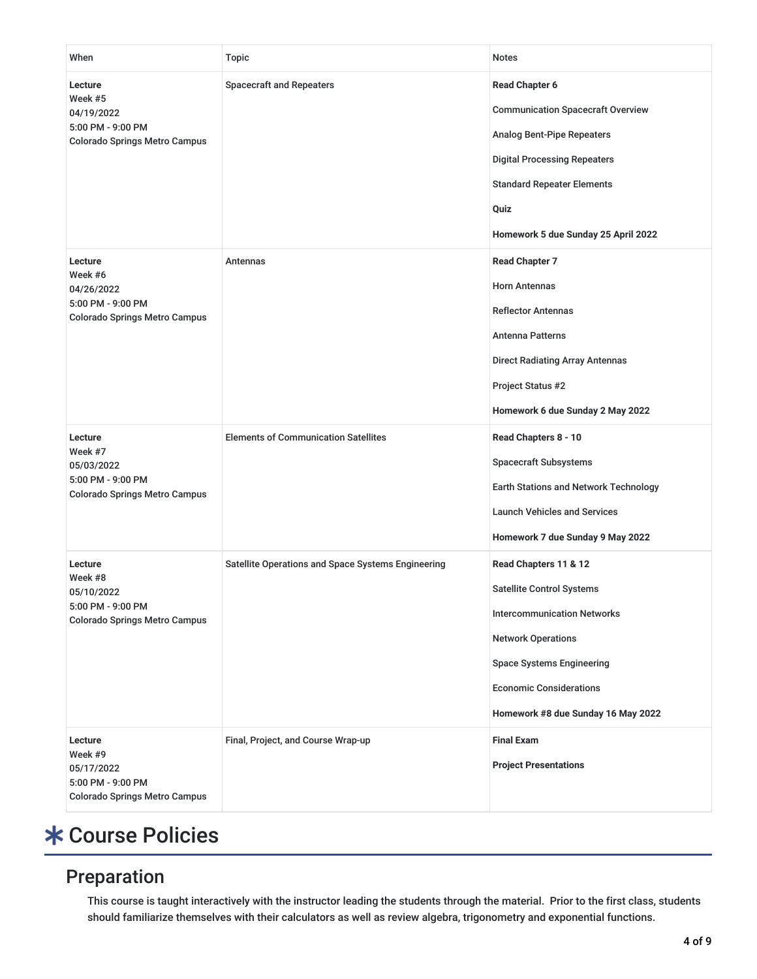| When                                                                                          | <b>Topic</b>                                       | Notes                                                                                                                                                                                                                                    |
|-----------------------------------------------------------------------------------------------|----------------------------------------------------|------------------------------------------------------------------------------------------------------------------------------------------------------------------------------------------------------------------------------------------|
| Lecture<br>Week #5<br>04/19/2022<br>5:00 PM - 9:00 PM<br><b>Colorado Springs Metro Campus</b> | <b>Spacecraft and Repeaters</b>                    | <b>Read Chapter 6</b><br><b>Communication Spacecraft Overview</b><br><b>Analog Bent-Pipe Repeaters</b><br><b>Digital Processing Repeaters</b><br><b>Standard Repeater Elements</b><br>Quiz<br>Homework 5 due Sunday 25 April 2022        |
| Lecture<br>Week #6<br>04/26/2022<br>5:00 PM - 9:00 PM<br><b>Colorado Springs Metro Campus</b> | Antennas                                           | <b>Read Chapter 7</b><br><b>Horn Antennas</b><br><b>Reflector Antennas</b><br><b>Antenna Patterns</b><br><b>Direct Radiating Array Antennas</b><br>Project Status #2<br>Homework 6 due Sunday 2 May 2022                                 |
| Lecture<br>Week #7<br>05/03/2022<br>5:00 PM - 9:00 PM<br><b>Colorado Springs Metro Campus</b> | <b>Elements of Communication Satellites</b>        | Read Chapters 8 - 10<br><b>Spacecraft Subsystems</b><br>Earth Stations and Network Technology<br><b>Launch Vehicles and Services</b><br>Homework 7 due Sunday 9 May 2022                                                                 |
| Lecture<br>Week #8<br>05/10/2022<br>5:00 PM - 9:00 PM<br><b>Colorado Springs Metro Campus</b> | Satellite Operations and Space Systems Engineering | Read Chapters 11 & 12<br><b>Satellite Control Systems</b><br><b>Intercommunication Networks</b><br><b>Network Operations</b><br><b>Space Systems Engineering</b><br><b>Economic Considerations</b><br>Homework #8 due Sunday 16 May 2022 |
| Lecture<br>Week #9<br>05/17/2022<br>5:00 PM - 9:00 PM<br><b>Colorado Springs Metro Campus</b> | Final, Project, and Course Wrap-up                 | <b>Final Exam</b><br><b>Project Presentations</b>                                                                                                                                                                                        |

# Course Policies

## Preparation

This course is taught interactively with the instructor leading the students through the material. Prior to the first class, students should familiarize themselves with their calculators as well as review algebra, trigonometry and exponential functions.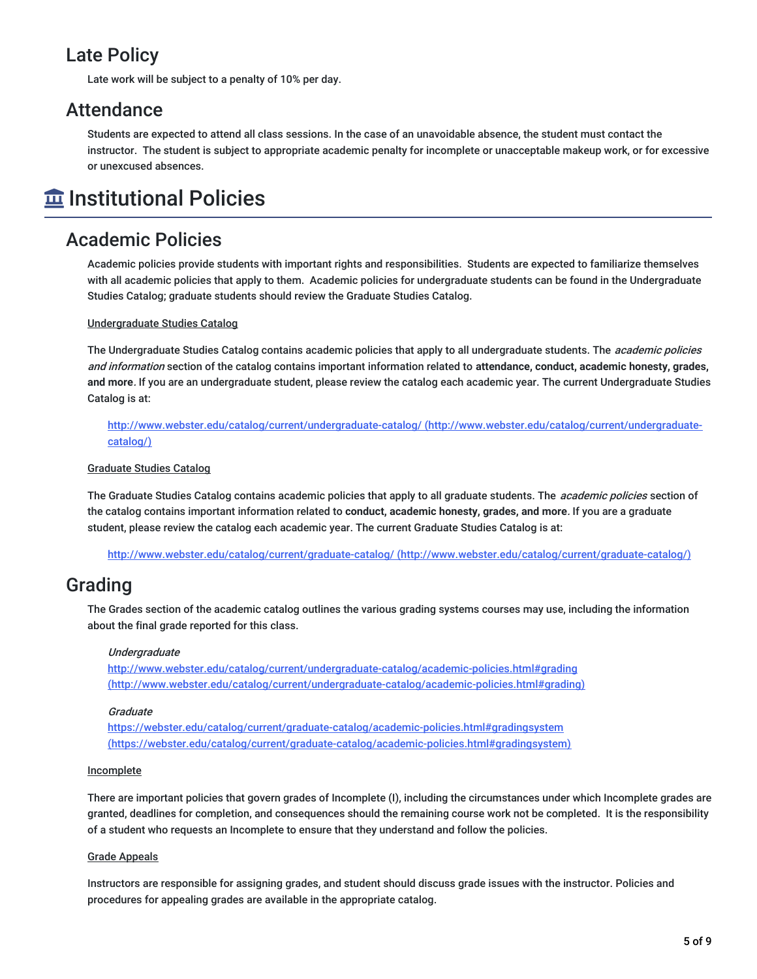## Late Policy

Late work will be subject to a penalty of 10% per day.

## Attendance

Students are expected to attend all class sessions. In the case of an unavoidable absence, the student must contact the instructor. The student is subject to appropriate academic penalty for incomplete or unacceptable makeup work, or for excessive or unexcused absences.

# $\widehat{\mathbf{m}}$  Institutional Policies

## Academic Policies

Academic policies provide students with important rights and responsibilities. Students are expected to familiarize themselves with all academic policies that apply to them. Academic policies for undergraduate students can be found in the Undergraduate Studies Catalog; graduate students should review the Graduate Studies Catalog.

### Undergraduate Studies Catalog

The Undergraduate Studies Catalog contains academic policies that apply to all undergraduate students. The *academic policies* and information section of the catalog contains important information related to **attendance, conduct, academic honesty, grades, and more**. If you are an undergraduate student, please review the catalog each academic year. The current Undergraduate Studies Catalog is at:

<http://www.webster.edu/catalog/current/undergraduate-catalog/> (http://www.webster.edu/catalog/current/undergraduatecatalog/)

### Graduate Studies Catalog

The Graduate Studies Catalog contains academic policies that apply to all graduate students. The *academic policies* section of the catalog contains important information related to **conduct, academic honesty, grades, and more**. If you are a graduate student, please review the catalog each academic year. The current Graduate Studies Catalog is at:

http://www.webster.edu/catalog/current/graduate-catalog/ [\(http://www.webster.edu/catalog/current/graduate-catalog/\)](http://www.webster.edu/catalog/current/graduate-catalog/)

## Grading

The Grades section of the academic catalog outlines the various grading systems courses may use, including the information about the final grade reported for this class.

### Undergraduate

http://www.webster.edu/catalog/current/undergraduate-catalog/academic-policies.html#grading [\(http://www.webster.edu/catalog/current/undergraduate-catalog/academic-policies.html#grading\)](http://www.webster.edu/catalog/current/undergraduate-catalog/academic-policies.html#grading)

### **Graduate**

https://webster.edu/catalog/current/graduate-catalog/academic-policies.html#gradingsystem [\(https://webster.edu/catalog/current/graduate-catalog/academic-policies.html#gradingsystem\)](https://webster.edu/catalog/current/graduate-catalog/academic-policies.html#gradingsystem)

### **Incomplete**

There are important policies that govern grades of Incomplete (I), including the circumstances under which Incomplete grades are granted, deadlines for completion, and consequences should the remaining course work not be completed. It is the responsibility of a student who requests an Incomplete to ensure that they understand and follow the policies.

### Grade Appeals

Instructors are responsible for assigning grades, and student should discuss grade issues with the instructor. Policies and procedures for appealing grades are available in the appropriate catalog.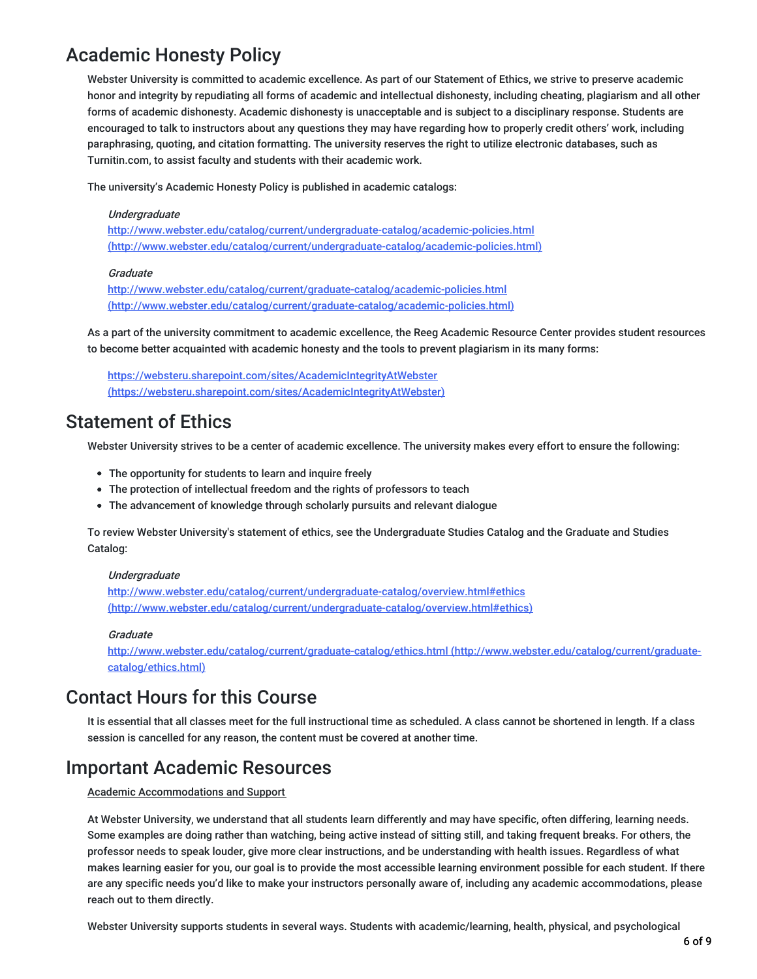## Academic Honesty Policy

Webster University is committed to academic excellence. As part of our Statement of Ethics, we strive to preserve academic honor and integrity by repudiating all forms of academic and intellectual dishonesty, including cheating, plagiarism and all other forms of academic dishonesty. Academic dishonesty is unacceptable and is subject to a disciplinary response. Students are encouraged to talk to instructors about any questions they may have regarding how to properly credit others' work, including paraphrasing, quoting, and citation formatting. The university reserves the right to utilize electronic databases, such as Turnitin.com, to assist faculty and students with their academic work.

The university's Academic Honesty Policy is published in academic catalogs:

#### **Undergraduate**

<http://www.webster.edu/catalog/current/undergraduate-catalog/academic-policies.html> (http://www.webster.edu/catalog/current/undergraduate-catalog/academic-policies.html)

#### **Graduate**

<http://www.webster.edu/catalog/current/graduate-catalog/academic-policies.html> (http://www.webster.edu/catalog/current/graduate-catalog/academic-policies.html)

As a part of the university commitment to academic excellence, the Reeg Academic Resource Center provides student resources to become better acquainted with academic honesty and the tools to prevent plagiarism in its many forms:

https://websteru.sharepoint.com/sites/AcademicIntegrityAtWebster [\(https://websteru.sharepoint.com/sites/AcademicIntegrityAtWebster\)](https://websteru.sharepoint.com/sites/AcademicIntegrityAtWebster)

### Statement of Ethics

Webster University strives to be a center of academic excellence. The university makes every effort to ensure the following:

- The opportunity for students to learn and inquire freely
- The protection of intellectual freedom and the rights of professors to teach
- The advancement of knowledge through scholarly pursuits and relevant dialogue

To review Webster University's statement of ethics, see the Undergraduate Studies Catalog and the Graduate and Studies Catalog:

#### **Undergraduate**

<http://www.webster.edu/catalog/current/undergraduate-catalog/overview.html#ethics> (http://www.webster.edu/catalog/current/undergraduate-catalog/overview.html#ethics)

#### **Graduate**

<http://www.webster.edu/catalog/current/graduate-catalog/ethics.html> (http://www.webster.edu/catalog/current/graduatecatalog/ethics.html)

### Contact Hours for this Course

It is essential that all classes meet for the full instructional time as scheduled. A class cannot be shortened in length. If a class session is cancelled for any reason, the content must be covered at another time.

### Important Academic Resources

### Academic Accommodations and Support

At Webster University, we understand that all students learn differently and may have specific, often differing, learning needs. Some examples are doing rather than watching, being active instead of sitting still, and taking frequent breaks. For others, the professor needs to speak louder, give more clear instructions, and be understanding with health issues. Regardless of what makes learning easier for you, our goal is to provide the most accessible learning environment possible for each student. If there are any specific needs you'd like to make your instructors personally aware of, including any academic accommodations, please reach out to them directly.

Webster University supports students in several ways. Students with academic/learning, health, physical, and psychological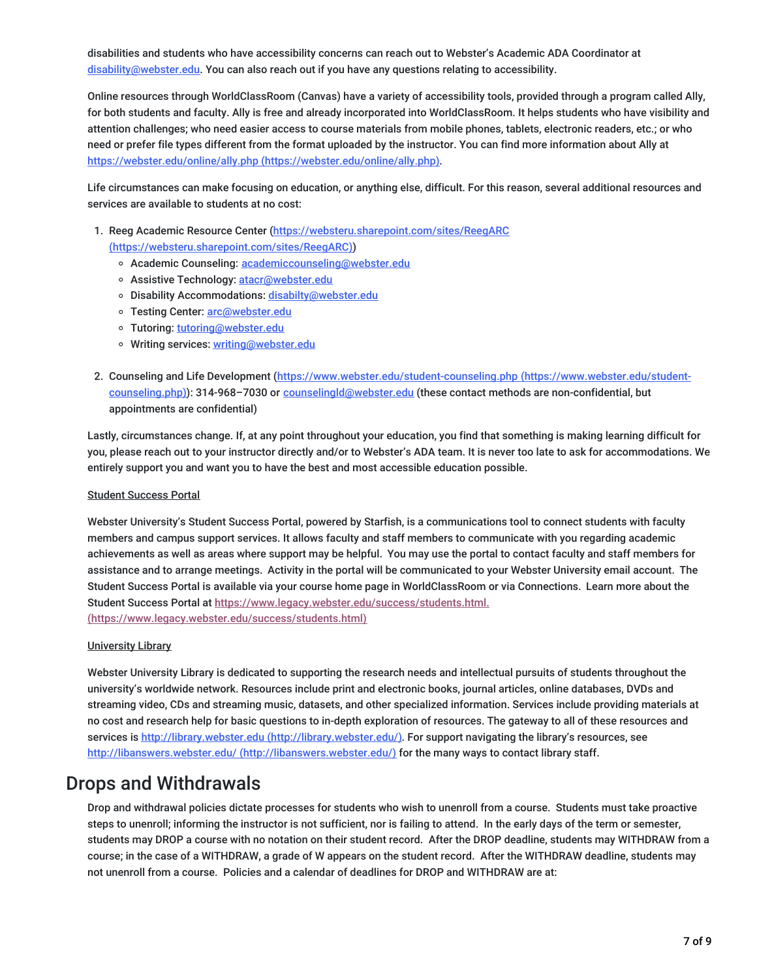disabilities and students who have accessibility concerns can reach out to Webster's Academic ADA Coordinator at [disability@webster.edu](mailto:disability@webster.edu). You can also reach out if you have any questions relating to accessibility.

Online resources through WorldClassRoom (Canvas) have a variety of accessibility tools, provided through a program called Ally, for both students and faculty. Ally is free and already incorporated into WorldClassRoom. It helps students who have visibility and attention challenges; who need easier access to course materials from mobile phones, tablets, electronic readers, etc.; or who need or prefer file types different from the format uploaded by the instructor. You can find more information about Ally at https://webster.edu/online/ally.php [\(https://webster.edu/online/ally.php\)](https://webster.edu/online/ally.php).

Life circumstances can make focusing on education, or anything else, difficult. For this reason, several additional resources and services are available to students at no cost:

- 1. Reeg Academic Resource Center (https://websteru.sharepoint.com/sites/ReegARC [\(https://websteru.sharepoint.com/sites/ReegARC\)\)](https://websteru.sharepoint.com/sites/ReegARC)
	- o Academic Counseling: [academiccounseling@webster.edu](mailto:academiccounseling@webster.edu)
	- o Assistive Technology: [atacr@webster.edu](mailto:atacr@webster.edu)
	- o Disability Accommodations: [disabilty@webster.edu](mailto:disabilty@webster.edu)
	- o Testing Center: [arc@webster.edu](mailto:arc@webster.edu)
	- o Tutoring: [tutoring@webster.edu](mailto:tutoring@webster.edu)
	- o Writing services: [writing@webster.edu](mailto:writing@webster.edu)
- 2. Counseling and Life Development [\(https://www.webster.edu/student-counseling.php](https://www.webster.edu/student-counseling.php) (https://www.webster.edu/studentcounseling.php)): 314-968-7030 or counselingId@webster.edu (these contact methods are non-confidential, but appointments are confidential)

Lastly, circumstances change. If, at any point throughout your education, you find that something is making learning difficult for you, please reach out to your instructor directly and/or to Webster's ADA team. It is never too late to ask for accommodations. We entirely support you and want you to have the best and most accessible education possible.

### Student Success Portal

Webster University's Student Success Portal, powered by Starfish, is a communications tool to connect students with faculty members and campus support services. It allows faculty and staff members to communicate with you regarding academic achievements as well as areas where support may be helpful. You may use the portal to contact faculty and staff members for assistance and to arrange meetings. Activity in the portal will be communicated to your Webster University email account. The Student Success Portal is available via your course home page in WorldClassRoom or via Connections. Learn more about the Student Success Portal at https://www.legacy.webster.edu/success/students.html. [\(https://www.legacy.webster.edu/success/students.html\)](https://www.legacy.webster.edu/success/students.html)

### University Library

Webster University Library is dedicated to supporting the research needs and intellectual pursuits of students throughout the university's worldwide network. Resources include print and electronic books, journal articles, online databases, DVDs and streaming video, CDs and streaming music, datasets, and other specialized information. Services include providing materials at no cost and research help for basic questions to in-depth exploration of resources. The gateway to all of these resources and services is http://library.webster.edu [\(http://library.webster.edu/\)](http://library.webster.edu/). For support navigating the library's resources, see http://libanswers.webster.edu/ [\(http://libanswers.webster.edu/\)](http://libanswers.webster.edu/) for the many ways to contact library staff.

### Drops and Withdrawals

Drop and withdrawal policies dictate processes for students who wish to unenroll from a course. Students must take proactive steps to unenroll; informing the instructor is not sufficient, nor is failing to attend. In the early days of the term or semester, students may DROP a course with no notation on their student record. After the DROP deadline, students may WITHDRAW from a course; in the case of a WITHDRAW, a grade of W appears on the student record. After the WITHDRAW deadline, students may not unenroll from a course. Policies and a calendar of deadlines for DROP and WITHDRAW are at: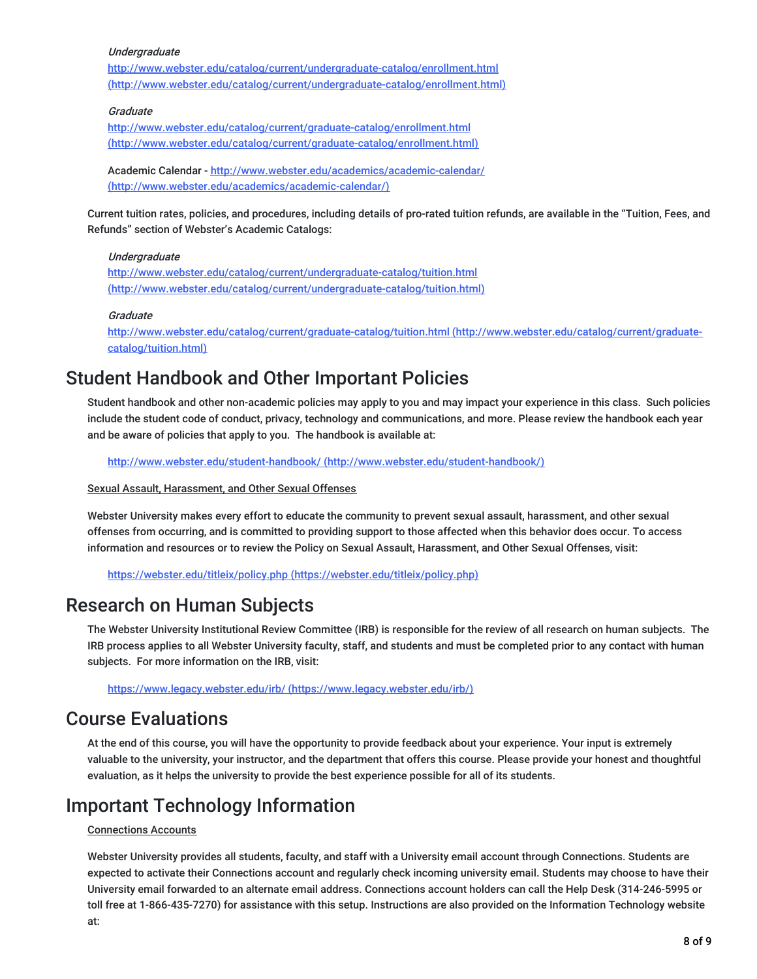### **Undergraduate**

<http://www.webster.edu/catalog/current/undergraduate-catalog/enrollment.html> (http://www.webster.edu/catalog/current/undergraduate-catalog/enrollment.html)

### **Graduate**

http://www.webster.edu/catalog/current/graduate-catalog/enrollment.html [\(http://www.webster.edu/catalog/current/graduate-catalog/enrollment.html\)](http://www.webster.edu/catalog/current/graduate-catalog/enrollment.html)

Academic Calendar - http://www.webster.edu/academics/academic-calendar/ [\(http://www.webster.edu/academics/academic-calendar/\)](http://www.webster.edu/academics/academic-calendar/)

Current tuition rates, policies, and procedures, including details of pro-rated tuition refunds, are available in the "Tuition, Fees, and Refunds" section of Webster's Academic Catalogs:

### Undergraduate

<http://www.webster.edu/catalog/current/undergraduate-catalog/tuition.html> (http://www.webster.edu/catalog/current/undergraduate-catalog/tuition.html)

### **Graduate**

<http://www.webster.edu/catalog/current/graduate-catalog/tuition.html> (http://www.webster.edu/catalog/current/graduatecatalog/tuition.html)

## Student Handbook and Other Important Policies

Student handbook and other non-academic policies may apply to you and may impact your experience in this class. Such policies include the student code of conduct, privacy, technology and communications, and more. Please review the handbook each year and be aware of policies that apply to you. The handbook is available at:

http://www.webster.edu/student-handbook/ [\(http://www.webster.edu/student-handbook/\)](http://www.webster.edu/student-handbook/)

### Sexual Assault, Harassment, and Other Sexual Offenses

Webster University makes every effort to educate the community to prevent sexual assault, harassment, and other sexual offenses from occurring, and is committed to providing support to those affected when this behavior does occur. To access information and resources or to review the Policy on Sexual Assault, Harassment, and Other Sexual Offenses, visit:

https://webster.edu/titleix/policy.php [\(https://webster.edu/titleix/policy.php\)](https://webster.edu/titleix/policy.php)

### Research on Human Subjects

The Webster University Institutional Review Committee (IRB) is responsible for the review of all research on human subjects. The IRB process applies to all Webster University faculty, staff, and students and must be completed prior to any contact with human subjects. For more information on the IRB, visit:

https://www.legacy.webster.edu/irb/ [\(https://www.legacy.webster.edu/irb/\)](https://www.legacy.webster.edu/irb/)

## Course Evaluations

At the end of this course, you will have the opportunity to provide feedback about your experience. Your input is extremely valuable to the university, your instructor, and the department that offers this course. Please provide your honest and thoughtful evaluation, as it helps the university to provide the best experience possible for all of its students.

## Important Technology Information

### Connections Accounts

Webster University provides all students, faculty, and staff with a University email account through Connections. Students are expected to activate their Connections account and regularly check incoming university email. Students may choose to have their University email forwarded to an alternate email address. Connections account holders can call the Help Desk (314-246-5995 or toll free at 1-866-435-7270) for assistance with this setup. Instructions are also provided on the Information Technology website at: